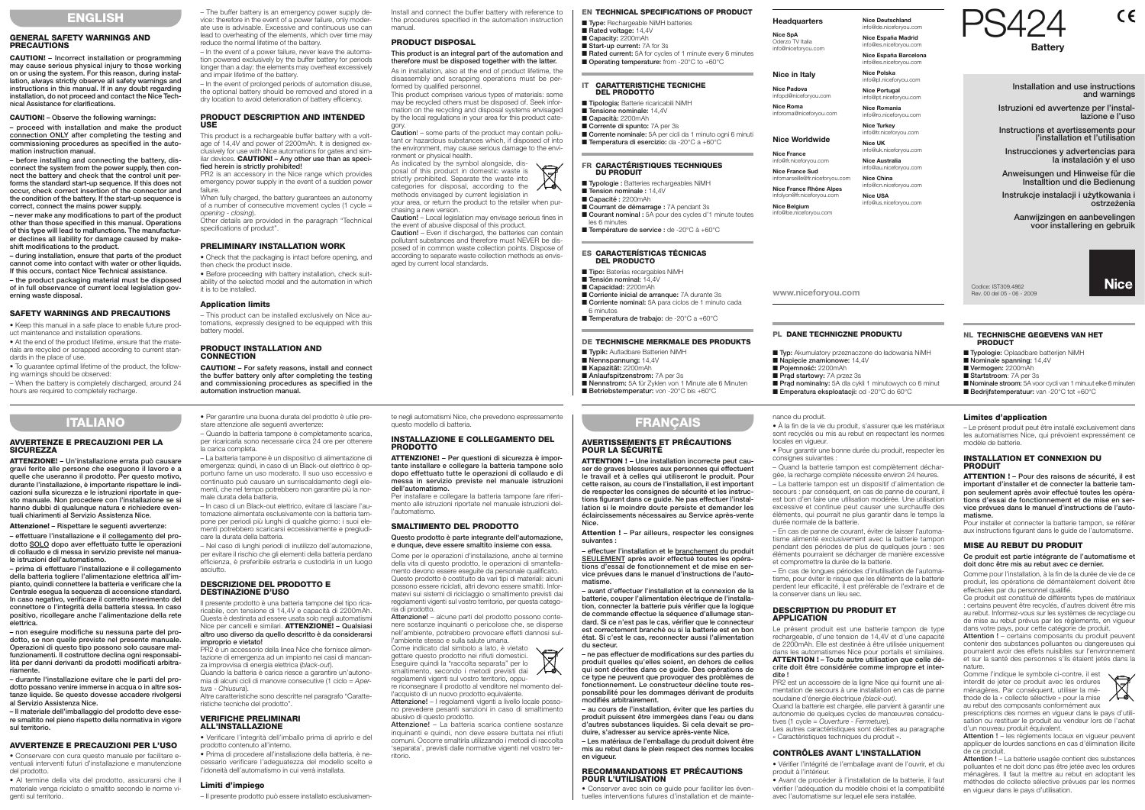# **GENERAL SAFETY WARNINGS AND PRECAUTIONS**

**CAUTION! – Incorrect installation or programming may cause serious physical injury to those working on or using the system. For this reason, during installation, always strictly observe all safety warnings and instructions in this manual. If in any doubt regarding installation, do not proceed and contact the Nice Technical Assistance for clarifications.**

## **CAUTION! – Observe the following warnings:**

**– proceed with installation and make the product connection ONLY after completing the testing and commissioning procedures as specified in the auto mation instruction manual.**

**– before installing and connecting the battery, disconnect the system from the power supply, then connect the battery and check that the control unit performs the standard start-up sequence. If this does not occur, check correct insertion of the connector and the condition of the battery. If the start-up sequence is correct, connect the mains power supply.**

**– never make any modifications to part of the product other than those specified in this manual. Operations of this type will lead to malfunctions. The manufactur**er declines all liability for damage caused by make**shift modifications to the product.**

**– during installation, ensure that parts of the product cannot come into contact with water or other liquids. If this occurs, contact Nice Technical assistance.**

**– the product packaging material must be disposed of in full observance of current local legislation governing waste disposal.**

When fully charged, the battery guarantees an autonomy of a number of consecutive movement cycles (1 cycle = opening - closing).

## **SAFETY WARNINGS AND PRECAUTIONS**

• Keep this manual in a safe place to enable future product maintenance and installation operations.

• At the end of the product lifetime, ensure that the materials are recycled or scrapped according to current standards in the place of use.

• To guarantee optimal lifetime of the product, the following warnings should be observed:

– When the battery is completely discharged, around 24 hours are required to completely recharge.

– The buffer battery is an emergency power supply de vice: therefore in the event of a power failure, only moderate use is advisable. Excessive and continuous use can lead to overheating of the elements, which over time may reduce the normal lifetime of the battery.

– In the event of a power failure, never leave the automation powered exclusively by the buffer battery for periods longer than a day: the elements may overheat excessively and impair lifetime of the battery.

– In the event of prolonged periods of automation disuse, the optional battery should be removed and stored in a dry location to avoid deterioration of battery efficiency.

## **PRODUCT DESCRIPTION AND INTENDED USE**

**Caution!** – Even if discharged, the batteries can contain pollutant substances and therefore must NEVER be disposed of in common waste collection points. Dispose of according to separate waste collection methods as envisaged by current local standards.

■ **Capacity:** 2200mAh ■ **Start-up current:** 7A for 3s ■ **Rated current:** 5A for cycles of 1 minute every 6 minutes ■ **Operating temperature:** from -20°C to +60°C

This product is a rechargeable buffer battery with a voltage of 14,4V and power of 2200mAh. It is designed exclusively for use with Nice automations for gates and similar devices. **CAUTION!** - Any other use than as speci**fied herein is strictly prohibited!**

PR2 is an accessory in the Nice range which provides emergency power supply in the event of a sudden power failure.

- **Capacidad:** 2200mAh
- **Corriente inicial de arranque:** 7A durante 3s
- **Corriente nominal:** 5A para ciclos de 1 minuto cada
- 6 minutos ■ **Temperatura de trabajo:** de -20°C a +60°C

Other details are provided in the paragraph "Technical specifications of product".

- **Typik:** Aufladbare Batterien NiMH ■ **Nennspannung:** 14,4V
- **Kapazität:** 2200mAh
- **Anlaufspitzenstrom:** 7A per 3s
- **Nennstrom:** 5A für Zyklen von 1 Minute alle 6 Minuten
- **Betriebstemperatur:** von -20°C bis +60°C

**TALLANO**<br>
State at the system and the system and the system and the system and the system and the system and the system and the system and the system and the system and the system and the system and the system and the sy **EFRANCAIS**<br> **EXAMPLE THE CONTENTS INTERFERIGHENT INTERFERIGHENT INTERFERIGHENT CONTENTS INTERFERIGHENT INTERFERIGHENT INTERFERIGHENT INTERFERIGHENT INTERFERIGHENT INTERFERIGHENT INTERFERIGHENT INTERFERIGHENT INTERFERIGHE** 

# **PRELIMINARY INSTALLATION WORK**

• Check that the packaging is intact before opening, and then check the product inside.

> ■ **Typ:** Akumulatory przeznaczone do ładowania NiMH ■ **Napięcie znamionowe:** 14,4V

■ **Prad nominalny:** 5A dla cykli 1 minutowych co 6 minut ■ **Emperatura eksploatacji:** od -20°C do 60°C

■ **Pojemność:** 2200mAh ■ **Prad startowy:** 7A przez 3s

• Before proceeding with battery installation, check suitability of the selected model and the automation in which it is to be installed.

- **Typologie:** Oplaadbare batterijen NiMH
- **Nominale spanning:** 14,4V
- **Vermogen:** 2200mAh
- **Startstroom**: 7A per 3s
- **Nominale stroom:** 5A voor cycli van 1 minuut elke 6 minuten
- **Bedrijfstemperatuur:** van -20°C tot +60°C



## **Application limits**

– This product can be installed exclusively on Nice au tomations, expressly designed to be equipped with this battery model.

# **PRODUCT INSTALLATION AND CONNECTION**

■ **Type:** Rechargeable NiMH batteries ■ **Rated voltage:** 14,4V ■ **Tipologia:** Batterie ricaricabili NiMH ■ **Tensione nominale: 14,4**V ■ **Capacità:** 2200mAh ■ **Corrente di spunto:** 7A per 3s ■ **Corrente nominale:** 5A per cicli da 1 minuto ogni 6 minuti ■ **Temperatura di esercizio:** da -20°C a +60°C **FR CARACTÉRISTIQUES TECHNIQUES DU PRODUIT** ■ **Typologie :** Batteries rechargeables NiMH ■ **Tension nominale: 14,4V** ■ **Capacité :** 2200mAh ■ **Courrant de démarrage : 7A pendant 3s** ■ **Courant nominal :** 5A pour des cycles d'1 minute toutes **Headquarters Nice SpA** Oderzo TV Italia info@niceforyou.com **Nice in Italy Nice Padova** infopd@niceforyou.com **Nice Roma** inforoma@niceforyou.com **Nice Worldwide Nice France** info@fr.niceforyou.com **Nice France Sud** infomarseille@fr.niceforyou.com **Nice France Rhône Alpes** infolyon@fr.niceforyou.com **Nice Belgium** info@be.niceforyou.com

**CAUTION! – For safety reasons, install and connect the buffer battery only after completing the testing and commissioning procedures as specified in the automation instruction manual.**

Install and connect the buffer battery with reference to The buffer battery is an emergency power supply de-<br> **ENGLISH** vice: therefore in the event of a power failure, only moder-<br>
the procedures specified in the automation instruction **and the procedures specified in the autom** manual.

### **PRODUCT DISPOSAL**

## **This product is an integral part of the automation and therefore must be disposed together with the latter.**

Codice: IST309.4862 **www.niceforyou.com** Rev. 00 del 05 - 06 - 2009

As in installation, also at the end of product lifetime, the disassembly and scrapping operations must be performed by qualified personnel.

This product comprises various types of materials: some may be recycled others must be disposed of. Seek information on the recycling and disposal systems envisaged by the local regulations in your area for this product cate-

gory. **Caution**! – some parts of the product may contain pollutant or hazardous substances which, if disposed of into the environment, may cause serious damage to the environment or physical health.

As indicated by the symbol alongside, disposal of this product in domestic waste is strictly prohibited. Separate the waste into categories for disposal, according to the methods envisaged by current legislation in

your area, or return the product to the retailer when purchasing a new version.

**Caution!** – Local legislation may envisage serious fines in the event of abusive disposal of this product.

• Conservare con cura questo manuale per facilitare eventuali interventi futuri d'installazione e manutenzione del prodotto.

# **IT CARATTERISTICHE TECNICHE DEL PRODOTTO**

les 6 minutes

 $\blacktriangleright$ 

■ **Température de service :** de -20°C à +60°C

### ■ **Tipo:** Baterías recargables NiMH

### **ES CARACTERÍSTICAS TÉCNICAS DEL PRODUCTO**

■ **Tensión nominal:** 14,4V

### **DE TECHNISCHE MERKMALE DES PRODUKTS**

# **PL DANE TECHNICZNE PRODUKTU**

### **NL TECHNISCHE GEGEVENS VAN HET PRODUCT**

**Nice Deutschland** info@de.niceforyou.com

**Nice España Madrid** info@es.niceforyou.com

**Nice España Barcelona** info@es.niceforyou.com

**Nice Polska** info@pl.niceforyou.com

**Nice Portugal** info@pt.niceforyou.com

**Nice Romania** info@ro.niceforyou.com **Nice Turkey**

info@tr.niceforyou.com **Nice UK**

info@uk.niceforyou.com **Nice Australia**

info@au.niceforyou.com **Nice China** info@cn.niceforyou.com

**Nice USA** info@us.niceforyou.com **Istruzioni ed avvertenze per l'installazione e l'uso**

**Instructions et avertissements pour l'installation et l'utilisation**

**Instrucciones y advertencias para la instalación y el uso**

**Anweisungen und Hinweise für die Installtion und die Bedienung**

**Instrukcje instalacji i użytkowania i ostrzeżenia**

**Aanwijzingen en aanbevelingen voor installering en gebruik**





## **AVVERTENZE E PRECAUZIONI PER LA SICUREZZA**

**ATTENZIONE! – Un'installazione errata può causare gravi ferite alle persone che eseguono il lavoro e a quelle che useranno il prodotto. Per questo motivo, durante l'installazione, è importante rispettare le indicazioni sulla sicurezza e le istruzioni riportate in questo manuale. Non procedere con l'installazione se si hanno dubbi di qualunque natura e richiedere eventuali chiarimenti al Servizio Assistenza Nice.**

## **Attenzione! – Rispettare le seguenti avvertenze:**

**– effettuare l'installazione e il collegamento del prodotto SOLO dopo aver effettuato tutte le operazioni di collaudo e di messa in servizio previste nel manuale istruzioni dell'automatismo.**

**– prima di effettuare l'installazione e il collegamento della batteria togliere l'alimentazione elettrica all'impianto, quindi connettere la batteria e verificare che la Centrale esegua la sequenza di accensione standard. In caso negativo, verificare il corretto inserimento del connettore o l'integrità della batteria stessa. In caso positivo, ricollegare anche l'alimentazione della rete elettrica.**

**– non eseguire modifiche su nessuna parte del prodotto, se non quelle previste nel presente manuale. Operazioni di questo tipo possono solo causare malfunzionamenti. Il costruttore declina ogni responsabilità per danni derivanti da prodotti modificati arbitrariamente.**

**– durante l'installazione evitare che le parti del prodotto possano venire immerse in acqua o in altre sos tanze liquide. Se questo dovesse accadere rivolgersi al Servizio Assistenza Nice.**

**– Il materiale dell'imballaggio del prodotto deve essere smaltito nel pieno rispetto della normativa in vigore sul territorio.**

# **AVVERTENZE E PRECAUZIONI PER L'USO**

• Al termine della vita del prodotto, assicurarsi che il materiale venga riciclato o smaltito secondo le norme vi genti sul territorio.

**•** Per garantire una buona durata del prodotto è utile prestare attenzione alle seguenti avvertenze: – Quando la batteria tampone è completamente scarica,

per ricaricarla sono necessarie circa 24 ore per ottenere la carica completa.

– La batteria tampone è un dispositivo di alimentazione di emergenza: quindi, in caso di un Black-out elettrico è opportuno farne un uso moderato. Il suo uso eccessivo e continuato può causare un surriscaldamento degli elementi, che nel tempo potrebbero non garantire più la normale durata della batteria.

– In caso di un Black-out elettrico, evitare di lasciare l'automazione alimentata esclusivamente con la batteria tampone per periodi più lunghi di qualche giorno: i suoi elementi potrebbero scaricarsi eccessivamente e pregiudicare la durata della batteria.

– Nel caso di lunghi periodi di inutilizzo dell'automazione, per evitare il rischio che gli elementi della batteria perdano efficienza, è preferibile estrarla e custodirla in un luogo asciutto.

## **DESCRIZIONE DEL PRODOTTO E DESTINAZIONE D'USO**

Il presente prodotto è una batteria tampone del tipo ricaricabile, con tensione di 14,4V e capacità di 2200mAh. Questa è destinata ad essere usata solo negli automatismi Nice per cancelli e similari. **ATTENZIONE! – Qualsiasi altro uso diverso da quello descritto è da considerarsi im proprio e vietato!**

PR2 è un accessorio della linea Nice che fornisce alimentazione di emergenza ad un impianto nei casi di mancanza improvvisa di energia elettrica (*black-out*).

Quando la batteria è carica riesce a garantire un'autonomia di alcuni cicli di manovre consecutive (1 ciclo = *Apertura - Chiusura*).

Altre caratteristiche sono descritte nel paragrafo "Caratteristiche tecniche del prodotto".

### **VERIFICHE PRELIMINARI ALL'INSTALLAZIONE**

• Verificare l'integrità dell'imballo prima di aprirlo e del prodotto contenuto all'interno. • Prima di procedere all'installazione della batteria, è ne -

cessario verificare l'adeguatezza del modello scelto e l'idoneità dell'automatismo in cui verrà installata.

# **Limiti d'impiego**

– Il presente prodotto può essere installato esclusivamen-

te negli automatismi Nice, che prevedono espressamente

questo modello di batteria.

**INSTALLAZIONE E COLLEGAMENTO DEL PRODOTTO ATTENZIONE! – Per questioni di sicurezza è impor tante installare e collegare la batteria tampone solo dopo effettuato tutte le operazioni di collaudo e di messa in servizio previste nel manuale istruzioni**

**dell'automatismo.**

Per installare e collegare la batteria tampone fare riferi mento alle istruzioni riportate nel manuale istruzioni del-

l'automatismo.

**SMALTIMENTO DEL PRODOTTO**

**Questo prodotto è parte integrante dell'automazione, e dunque, deve essere smaltito insieme con essa.** Come per le operazioni d'installazione, anche al termine della vita di questo prodotto, le operazioni di smantella mento devono essere eseguite da personale qualificato. Questo prodotto è costituito da vari tipi di materiali: alcuni possono essere riciclati, altri devono essere smaltiti. Infor matevi sui sistemi di riciclaggio o smaltimento previsti dai regolamenti vigenti sul vostro territorio, per questa catego-

ria di prodotto.

**Attenzione!** – alcune parti del prodotto possono conte nere sostanze inquinanti o pericolose che, se disperse

nell'ambiente, potrebbero provocare effetti dannosi sul-

l'ambiente stesso e sulla salute umana. Come indicato dal simbolo a lato, è vietato

gettare questo prodotto nei rifiuti domestici. Eseguire quindi la "raccolta separata" per lo smaltimento, secondo i metodi previsti dai regolamenti vigenti sul vostro territorio, oppu re riconsegnare il prodotto al venditore nel momento del-

l'acquisto di un nuovo prodotto equivalente. **Attenzione!** – I regolamenti vigenti a livello locale posso-

no prevedere pesanti sanzioni in caso di smaltimento abusivo di questo prodotto. **Attenzione!** – La batteria scarica contiene sostanze

inquinanti e quindi, non deve essere buttata nei rifiuti comuni. Occorre smaltirla utilizzando i metodi di raccolta 'separata', previsti dalle normative vigenti nel vostro ter-

# **RECOMMANDATIONS ET PRÉCAUTIONS POUR L'UTILISATION**

• Conserver avec soin ce guide pour faciliter les éven-